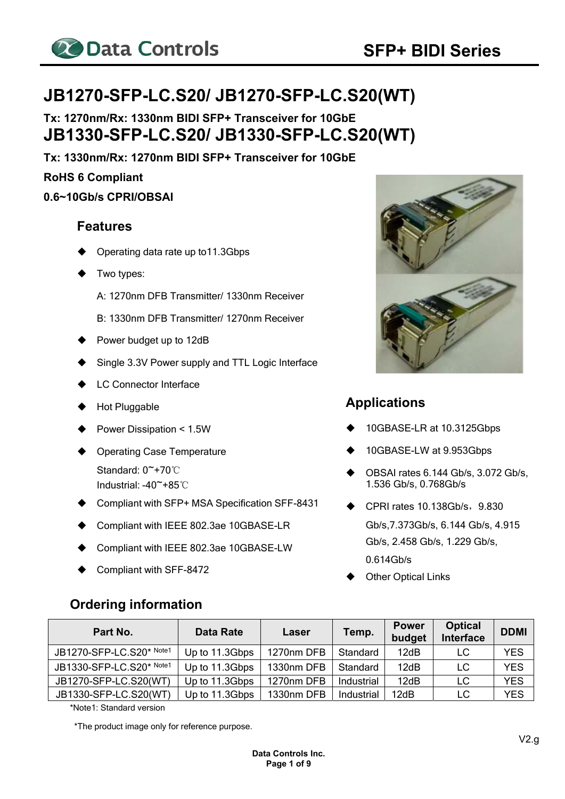

# **JB1270-SFP-LC.S20/ JB1270-SFP-LC.S20(WT)**

**Tx: 1270nm/Rx: 1330nm BIDI SFP+ Transceiver for 10GbE JB1330-SFP-LC.S20/ JB1330-SFP-LC.S20(WT)** 

**Tx: 1330nm/Rx: 1270nm BIDI SFP+ Transceiver for 10GbE** 

**RoHS 6 Compliant** 

**0.6~10Gb/s CPRI/OBSAI** 

#### **Features**

- Operating data rate up to11.3Gbps
- Two types:
	- A: 1270nm DFB Transmitter/ 1330nm Receiver
	- B: 1330nm DFB Transmitter/ 1270nm Receiver
- Power budget up to 12dB
- Single 3.3V Power supply and TTL Logic Interface
- **LC Connector Interface**
- Hot Pluggable
- Power Dissipation < 1.5W
- Operating Case Temperature Standard: 0~+70℃ Industrial: -40~+85℃
- Compliant with SFP+ MSA Specification SFF-8431
- Compliant with IEEE 802.3ae 10GBASE-LR
- Compliant with IEEE 802.3ae 10GBASE-LW
- Compliant with SFF-8472

**Ordering information** 

## **Applications**

- 10GBASE-LR at 10.3125Gbps
- 10GBASE-LW at 9.953Gbps
- OBSAI rates 6.144 Gb/s, 3.072 Gb/s, 1.536 Gb/s, 0.768Gb/s
- $\blacklozenge$  CPRI rates 10.138Gb/s, 9.830 Gb/s,7.373Gb/s, 6.144 Gb/s, 4.915 Gb/s, 2.458 Gb/s, 1.229 Gb/s, 0.614Gb/s
- Other Optical Links

| Part No.                 | <b>Data Rate</b> | Laser      | Temp.<br>budget |      | <b>Optical</b><br><b>Interface</b> | <b>DDMI</b> |
|--------------------------|------------------|------------|-----------------|------|------------------------------------|-------------|
| JB1270-SFP-LC.S20* Note1 | Up to 11.3Gbps   | 1270nm DFB | Standard        | 12dB | LC                                 | <b>YES</b>  |
| JB1330-SFP-LC.S20* Note1 | Up to 11.3Gbps   | 1330nm DFB | Standard        | 12dB | LC                                 | <b>YES</b>  |
| JB1270-SFP-LC.S20(WT)    | Up to 11.3Gbps   | 1270nm DFB | Industrial      | 12dB | LC                                 | <b>YES</b>  |
| JB1330-SFP-LC.S20(WT)    | Up to 11.3Gbps   | 1330nm DFB | Industrial      | 12dB | LC                                 | YES         |

\*Note1: Standard version

\*The product image only for reference purpose.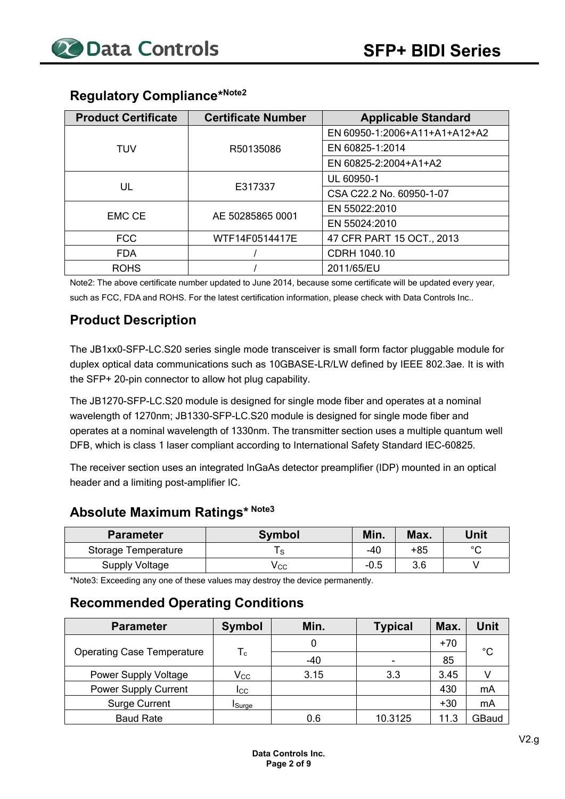| <b>Product Certificate</b> | <b>Certificate Number</b> | <b>Applicable Standard</b>    |
|----------------------------|---------------------------|-------------------------------|
|                            |                           | EN 60950-1:2006+A11+A1+A12+A2 |
| <b>TUV</b>                 | R50135086                 | EN 60825-1:2014               |
|                            |                           | EN 60825-2:2004+A1+A2         |
|                            |                           | UL 60950-1                    |
| UL                         | E317337                   | CSA C22.2 No. 60950-1-07      |
| <b>EMC CE</b>              | AE 50285865 0001          | EN 55022:2010                 |
|                            |                           | EN 55024:2010                 |
| <b>FCC</b>                 | WTF14F0514417E            | 47 CFR PART 15 OCT., 2013     |
| <b>FDA</b>                 |                           | CDRH 1040.10                  |
| <b>ROHS</b>                |                           | 2011/65/EU                    |

# **Regulatory Compliance\*Note2**

Note2: The above certificate number updated to June 2014, because some certificate will be updated every year, such as FCC, FDA and ROHS. For the latest certification information, please check with Data Controls Inc..

#### **Product Description**

The JB1xx0-SFP-LC.S20 series single mode transceiver is small form factor pluggable module for duplex optical data communications such as 10GBASE-LR/LW defined by IEEE 802.3ae. It is with the SFP+ 20-pin connector to allow hot plug capability.

The JB1270-SFP-LC.S20 module is designed for single mode fiber and operates at a nominal wavelength of 1270nm; JB1330-SFP-LC.S20 module is designed for single mode fiber and operates at a nominal wavelength of 1330nm. The transmitter section uses a multiple quantum well DFB, which is class 1 laser compliant according to International Safety Standard IEC-60825.

The receiver section uses an integrated InGaAs detector preamplifier (IDP) mounted in an optical header and a limiting post-amplifier IC.

## **Absolute Maximum Ratings\* Note3**

| <b>Parameter</b>      | <b>Symbol</b> | Min.   | Max. | Unit   |
|-----------------------|---------------|--------|------|--------|
| Storage Temperature   |               | -40    | +85  | $\sim$ |
| <b>Supply Voltage</b> | ∨сс           | $-0.5$ | 3.6  |        |

\*Note3: Exceeding any one of these values may destroy the device permanently.

#### **Recommended Operating Conditions**

| <b>Parameter</b>                  | <b>Symbol</b>             | Min.  | <b>Typical</b> | Max.  | Unit        |
|-----------------------------------|---------------------------|-------|----------------|-------|-------------|
|                                   |                           |       |                | $+70$ | $^{\circ}C$ |
| <b>Operating Case Temperature</b> | $\mathsf{T}_{\mathsf{c}}$ | $-40$ |                | 85    |             |
| Power Supply Voltage              | $\mathsf{V_{CC}}$         | 3.15  | 3.3            | 3.45  |             |
| Power Supply Current              | Icc.                      |       |                | 430   | mA          |
| <b>Surge Current</b>              | <b>I</b> Surge            |       |                | $+30$ | mA          |
| <b>Baud Rate</b>                  |                           | 0.6   | 10.3125        | 11.3  | GBaud       |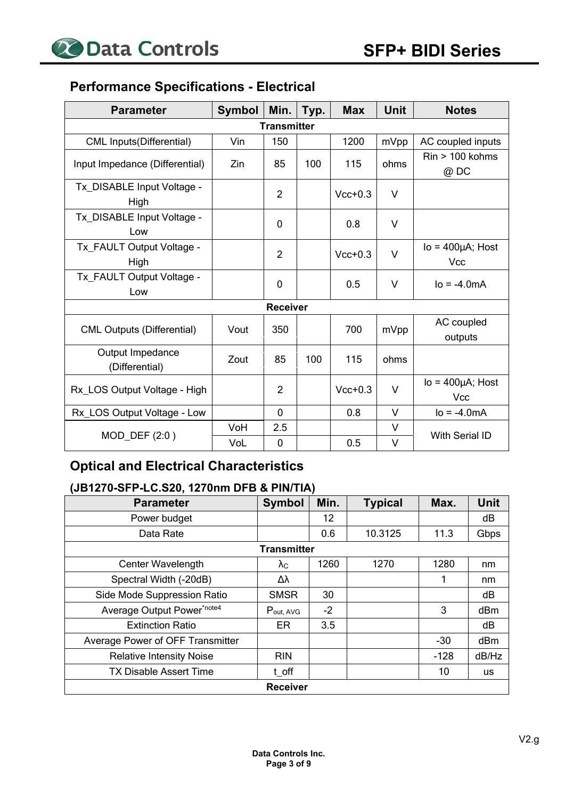## **Performance Specifications - Electrical**

| <b>Parameter</b>                   | <b>Symbol</b> | Min.               | Typ. | <b>Max</b> | <b>Unit</b> | <b>Notes</b>                          |
|------------------------------------|---------------|--------------------|------|------------|-------------|---------------------------------------|
|                                    |               | <b>Transmitter</b> |      |            |             |                                       |
| <b>CML Inputs(Differential)</b>    | Vin           | 150                |      | 1200       | mVpp        | AC coupled inputs                     |
| Input Impedance (Differential)     | Zin           | 85                 | 100  | 115        | ohms        | $Rin > 100$ kohms<br>@ DC             |
| Tx_DISABLE Input Voltage -<br>High |               | $\overline{2}$     |      | $Vcc+0.3$  | $\vee$      |                                       |
| Tx_DISABLE Input Voltage -<br>Low  |               | $\mathbf 0$        |      | 0.8        | V           |                                       |
| Tx_FAULT Output Voltage -<br>High  |               | $\overline{2}$     |      | $Vcc+0.3$  | $\vee$      | $Io = 400 \mu A$ ; Host<br><b>Vcc</b> |
| Tx FAULT Output Voltage -<br>Low   |               | 0                  |      | 0.5        | V           | $IO = -4.0mA$                         |
|                                    |               | <b>Receiver</b>    |      |            |             |                                       |
| <b>CML Outputs (Differential)</b>  | Vout          | 350                |      | 700        | mVpp        | AC coupled<br>outputs                 |
| Output Impedance<br>(Differential) | Zout          | 85                 | 100  | 115        | ohms        |                                       |
| Rx LOS Output Voltage - High       |               | $\overline{2}$     |      | $Vcc+0.3$  | $\vee$      | $Io = 400 \mu A$ ; Host<br><b>Vcc</b> |
| Rx_LOS Output Voltage - Low        |               | $\mathbf 0$        |      | 0.8        | $\vee$      | $lo = -4.0mA$                         |
| MOD_DEF (2:0)                      | VoH           | 2.5                |      |            | V           | <b>With Serial ID</b>                 |
|                                    | VoL           | $\mathbf 0$        |      | 0.5        | $\vee$      |                                       |

# **Optical and Electrical Characteristics**

#### **(JB1270-SFP-LC.S20, 1270nm DFB & PIN/TIA)**

| <b>Parameter</b>                 | <b>Symbol</b>      | Min. | <b>Typical</b> | Max.   | Unit  |  |  |
|----------------------------------|--------------------|------|----------------|--------|-------|--|--|
| Power budget                     |                    | 12   |                |        | dB    |  |  |
| Data Rate                        |                    | 0.6  | 10.3125        | 11.3   | Gbps  |  |  |
|                                  | <b>Transmitter</b> |      |                |        |       |  |  |
| <b>Center Wavelength</b>         | $\lambda_{\rm C}$  | 1260 | 1270           | 1280   | nm    |  |  |
| Spectral Width (-20dB)           | Δλ                 |      |                |        | nm    |  |  |
| Side Mode Suppression Ratio      | <b>SMSR</b>        | 30   |                |        | dB    |  |  |
| Average Output Power*note4       | $P_{out, AVG}$     | $-2$ |                | 3      | dBm   |  |  |
| <b>Extinction Ratio</b>          | ER                 | 3.5  |                |        | dB    |  |  |
| Average Power of OFF Transmitter |                    |      |                | $-30$  | dBm   |  |  |
| <b>Relative Intensity Noise</b>  | <b>RIN</b>         |      |                | $-128$ | dB/Hz |  |  |
| <b>TX Disable Assert Time</b>    | t off              |      |                | 10     | us    |  |  |
| <b>Receiver</b>                  |                    |      |                |        |       |  |  |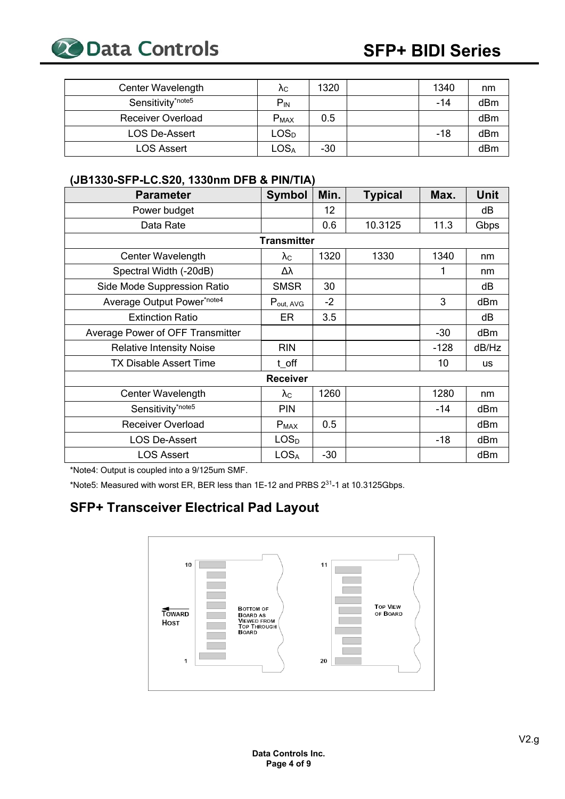

| Center Wavelength             | Λc                          | 1320  | 1340 | nm  |
|-------------------------------|-----------------------------|-------|------|-----|
| Sensitivity <sup>*note5</sup> | $P_{IN}$                    |       | -14  | dBm |
| <b>Receiver Overload</b>      | $P_{MAX}$                   | 0.5   |      | dBm |
| <b>LOS De-Assert</b>          | LOS <sub>D</sub>            |       | -18  | dBm |
| LOS Assert                    | $\mathsf{LOS}_{\mathsf{A}}$ | $-30$ |      | dBm |

#### **(JB1330-SFP-LC.S20, 1330nm DFB & PIN/TIA)**

| <b>Parameter</b>                 | <b>Symbol</b>         | Min.  | <b>Typical</b> | Max.   | <b>Unit</b> |  |  |
|----------------------------------|-----------------------|-------|----------------|--------|-------------|--|--|
| Power budget                     |                       | 12    |                |        | dB          |  |  |
| Data Rate                        |                       | 0.6   | 10.3125        | 11.3   | Gbps        |  |  |
| <b>Transmitter</b>               |                       |       |                |        |             |  |  |
| Center Wavelength                | $\lambda_{\rm C}$     | 1320  | 1330           | 1340   | nm          |  |  |
| Spectral Width (-20dB)           | Δλ                    |       |                | 1      | nm          |  |  |
| Side Mode Suppression Ratio      | <b>SMSR</b>           | 30    |                |        | dB          |  |  |
| Average Output Power*note4       | $P_{\text{out, AVG}}$ | $-2$  |                | 3      | dBm         |  |  |
| <b>Extinction Ratio</b>          | ER                    | 3.5   |                |        | dB          |  |  |
| Average Power of OFF Transmitter |                       |       |                | $-30$  | dBm         |  |  |
| <b>Relative Intensity Noise</b>  | <b>RIN</b>            |       |                | $-128$ | dB/Hz       |  |  |
| <b>TX Disable Assert Time</b>    | t off                 |       |                | 10     | <b>us</b>   |  |  |
|                                  | <b>Receiver</b>       |       |                |        |             |  |  |
| Center Wavelength                | $\lambda_{\rm C}$     | 1260  |                | 1280   | nm          |  |  |
| Sensitivity*note5                | <b>PIN</b>            |       |                | $-14$  | dBm         |  |  |
| <b>Receiver Overload</b>         | $P_{MAX}$             | 0.5   |                |        | dBm         |  |  |
| <b>LOS De-Assert</b>             | LOS <sub>D</sub>      |       |                | $-18$  | dBm         |  |  |
| <b>LOS Assert</b>                | <b>LOSA</b>           | $-30$ |                |        | dBm         |  |  |

\*Note4: Output is coupled into a 9/125um SMF.

\*Note5: Measured with worst ER, BER less than 1E-12 and PRBS 231-1 at 10.3125Gbps.

# **SFP+ Transceiver Electrical Pad Layout**

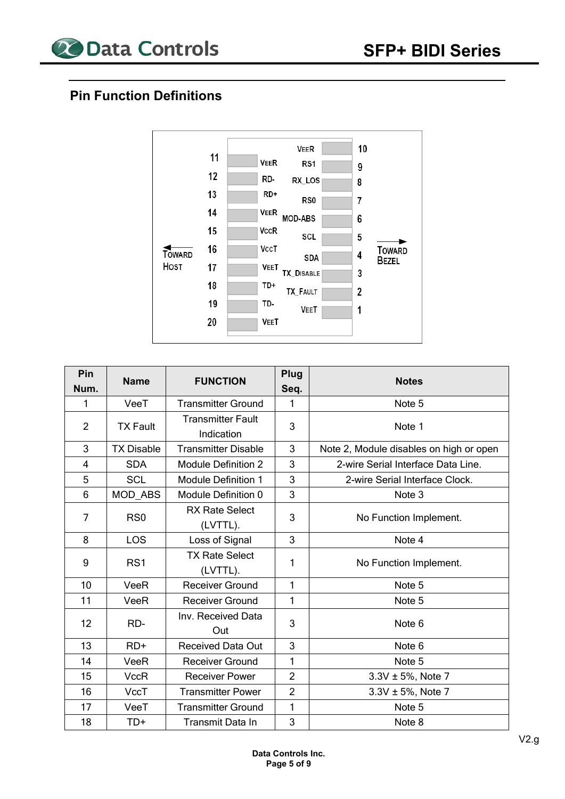

#### **Pin Function Definitions**



| Pin            | <b>Name</b>       | <b>FUNCTION</b>                        | Plug           | <b>Notes</b>                            |
|----------------|-------------------|----------------------------------------|----------------|-----------------------------------------|
| Num.           |                   |                                        | Seq.           |                                         |
| 1              | VeeT              | <b>Transmitter Ground</b>              | 1              | Note 5                                  |
| $\overline{2}$ | <b>TX Fault</b>   | <b>Transmitter Fault</b><br>Indication | 3              | Note 1                                  |
| 3              | <b>TX Disable</b> | <b>Transmitter Disable</b>             | 3              | Note 2, Module disables on high or open |
| $\overline{4}$ | <b>SDA</b>        | <b>Module Definition 2</b>             | 3              | 2-wire Serial Interface Data Line.      |
| 5              | <b>SCL</b>        | <b>Module Definition 1</b>             | 3              | 2-wire Serial Interface Clock.          |
| 6              | MOD_ABS           | Module Definition 0                    | 3              | Note 3                                  |
| $\overline{7}$ | RS <sub>0</sub>   | <b>RX Rate Select</b><br>(LVTTL).      | 3              | No Function Implement.                  |
| 8              | LOS               | Loss of Signal                         | 3              | Note 4                                  |
| 9              | RS1               | <b>TX Rate Select</b><br>(LVTTL).      | 1              | No Function Implement.                  |
| 10             | VeeR              | Receiver Ground                        | 1              | Note 5                                  |
| 11             | VeeR              | <b>Receiver Ground</b>                 | 1              | Note 5                                  |
| 12             | RD-               | Inv. Received Data<br>Out              | 3              | Note 6                                  |
| 13             | $RD+$             | <b>Received Data Out</b>               | 3              | Note 6                                  |
| 14             | VeeR              | <b>Receiver Ground</b>                 | 1              | Note 5                                  |
| 15             | <b>VccR</b>       | <b>Receiver Power</b>                  | $\overline{2}$ | $3.3V \pm 5%$ , Note 7                  |
| 16             | VccT              | <b>Transmitter Power</b>               | $\overline{2}$ | 3.3V ± 5%, Note 7                       |
| 17             | VeeT              | <b>Transmitter Ground</b>              | 1              | Note 5                                  |
| 18             | TD+               | Transmit Data In                       | 3              | Note 8                                  |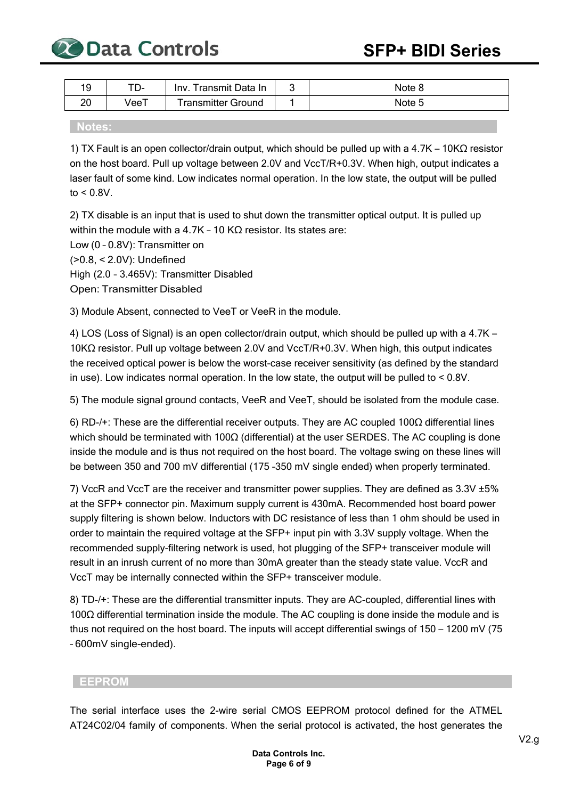

| 19       | . – ש | Transmit Data In<br>Inv. | ∼ | Note c |
|----------|-------|--------------------------|---|--------|
| ററ<br>∠∪ | VeeT  | ransmitter Ground        |   | Note 5 |

#### **Notes:**

1) TX Fault is an open collector/drain output, which should be pulled up with a 4.7K – 10KΩ resistor on the host board. Pull up voltage between 2.0V and VccT/R+0.3V. When high, output indicates a laser fault of some kind. Low indicates normal operation. In the low state, the output will be pulled to  $< 0.8V$ .

2) TX disable is an input that is used to shut down the transmitter optical output. It is pulled up within the module with a 4.7K - 10 KΩ resistor. Its states are:

Low (0 – 0.8V): Transmitter on (>0.8, < 2.0V): Undefined High (2.0 – 3.465V): Transmitter Disabled Open: Transmitter Disabled

3) Module Absent, connected to VeeT or VeeR in the module.

4) LOS (Loss of Signal) is an open collector/drain output, which should be pulled up with a 4.7K – 10KΩ resistor. Pull up voltage between 2.0V and VccT/R+0.3V. When high, this output indicates the received optical power is below the worst-case receiver sensitivity (as defined by the standard in use). Low indicates normal operation. In the low state, the output will be pulled to < 0.8V.

5) The module signal ground contacts, VeeR and VeeT, should be isolated from the module case.

6) RD-/+: These are the differential receiver outputs. They are AC coupled 100Ω differential lines which should be terminated with 100Ω (differential) at the user SERDES. The AC coupling is done inside the module and is thus not required on the host board. The voltage swing on these lines will be between 350 and 700 mV differential (175 –350 mV single ended) when properly terminated.

7) VccR and VccT are the receiver and transmitter power supplies. They are defined as 3.3V ±5% at the SFP+ connector pin. Maximum supply current is 430mA. Recommended host board power supply filtering is shown below. Inductors with DC resistance of less than 1 ohm should be used in order to maintain the required voltage at the SFP+ input pin with 3.3V supply voltage. When the recommended supply-filtering network is used, hot plugging of the SFP+ transceiver module will result in an inrush current of no more than 30mA greater than the steady state value. VccR and VccT may be internally connected within the SFP+ transceiver module.

8) TD-/+: These are the differential transmitter inputs. They are AC-coupled, differential lines with 100Ω differential termination inside the module. The AC coupling is done inside the module and is thus not required on the host board. The inputs will accept differential swings of 150 – 1200 mV (75 – 600mV single-ended).

#### **EEPROM**

The serial interface uses the 2-wire serial CMOS EEPROM protocol defined for the ATMEL AT24C02/04 family of components. When the serial protocol is activated, the host generates the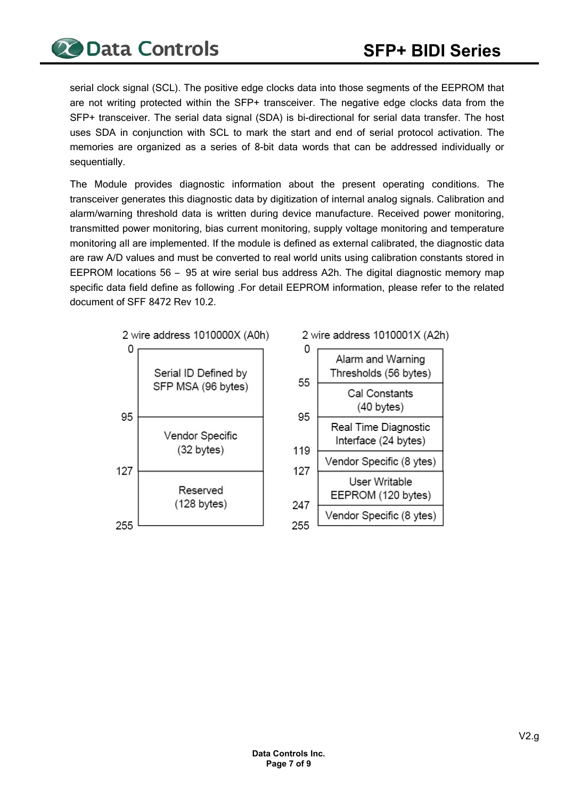serial clock signal (SCL). The positive edge clocks data into those segments of the EEPROM that are not writing protected within the SFP+ transceiver. The negative edge clocks data from the SFP+ transceiver. The serial data signal (SDA) is bi-directional for serial data transfer. The host uses SDA in conjunction with SCL to mark the start and end of serial protocol activation. The memories are organized as a series of 8-bit data words that can be addressed individually or sequentially.

The Module provides diagnostic information about the present operating conditions. The transceiver generates this diagnostic data by digitization of internal analog signals. Calibration and alarm/warning threshold data is written during device manufacture. Received power monitoring, transmitted power monitoring, bias current monitoring, supply voltage monitoring and temperature monitoring all are implemented. If the module is defined as external calibrated, the diagnostic data are raw A/D values and must be converted to real world units using calibration constants stored in EEPROM locations 56 – 95 at wire serial bus address A2h. The digital diagnostic memory map specific data field define as following .For detail EEPROM information, please refer to the related document of SFF 8472 Rev 10.2.



2 wire address 1010001X (A2h)

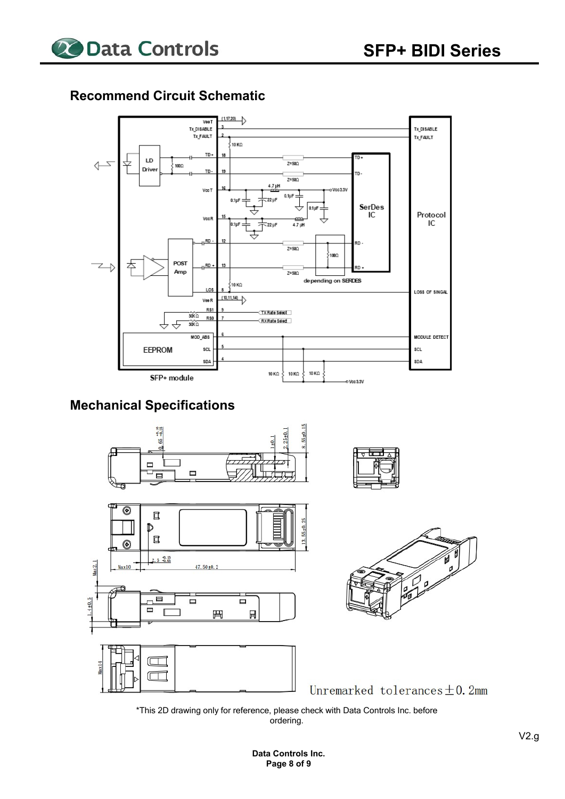

#### **Recommend Circuit Schematic**



## **Mechanical Specifications**



\*This 2D drawing only for reference, please check with Data Controls Inc. before ordering.